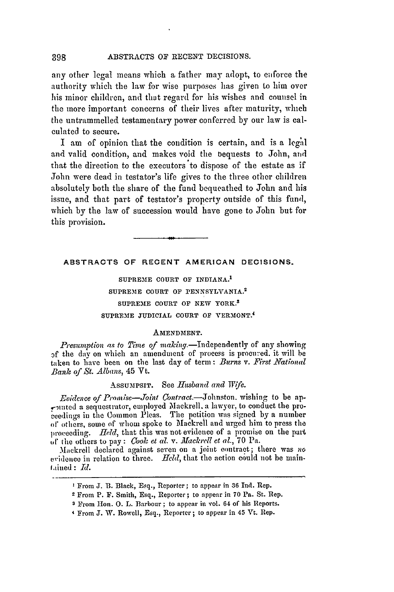any other legal means which **a** father may adopt, to enforce the authority which the law for wise purposes has given to him over his minor children, and that regard for his wishes and counsel in the more important concerns of their lives after maturity, which the untrammelled testamentary power conferred by our law is calculated to secure.

I am of opinion that the condition is certain, and is a legal and valid condition, and makes void the bequests to John, and that the direction to the executors **'to** dispose of the estate as if John were dead in testator's life gives to the three other children absolutely both the share of the fund bequeathed to John and his issue, and that part of testator's property outside of this fund, which by the law of succession would have gone to John but for this provision.

# **ABSTRACTS OF RECENT AMERICAN DECISIONS.**

SUPREME COURT OF INDIANA.<sup>1</sup> **SUPREME COURT** OF **PENNSYLVANIA. <sup>2</sup>** SUPREME COURT OF NEW YORK.<sup>3</sup> SUPREME JUDICIAL COURT OF VERMONT.<sup>4</sup>

# AMENDMENT.

*Presumption as to Time of making.*—Independently of any showing of the day on which an amendment of process is proen:'ed. it will be taken to have been on the last day of term: Burns v. First National *Bank of St. Albanas,* 45 Vt.

# ASSUMPSIT. See *Husband and Wife.*

*Evidence of Promise-Joint Contract.*-Johnston. wishing to be aprunted a sequestrator, employed Mackrell. a lawyer, to conduct the proceedings in the Common Pleas. The petition was signed **by** a number *ot* others, some of whom spoke to Mackrell and urged him to press the proceeding. Held, that this was not evidence of a promise on the part **of"** the others to pay **:** *Cook et al. v. .lfackrell et al.,* 70 Pa.

31ackrell declared against seven on a joint contract; there was *no.* evidence in relation to three. *Held,* that the action could not be main $t$ ained:  $Id.$ 

**I** From J. B. Black, Esq., Reporter; to appear in 36 Ind. Rep.

<sup>2</sup> From P. F. Smith, Esq., Reporter; to appear in **70** Pa. St. Rep.

**<sup>3</sup>** From Hon. **0.** L. Barbour; to appear in vol. 64 of his Reports.

**<sup>4</sup>** From J. W. Rowell, Esq., Reporter; to appear in 45 Vt. Rep.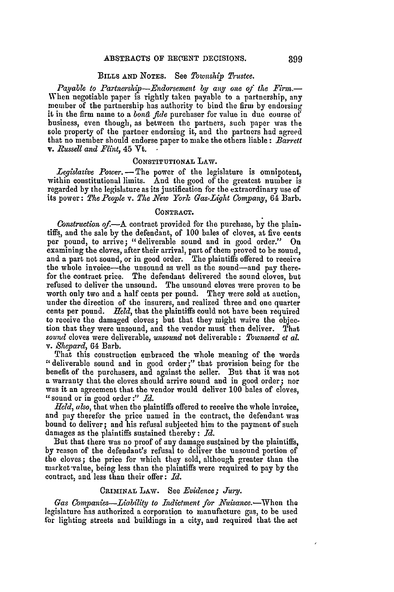### BILLS AND **NOTES.** See *Township Trustee.*

*Payable to Partnership-Endorsement by any one of the Firm.-* When negotiable paper is rightly taken payable to a partnership, any member of the partnership has authority to bind the firm by endorsing it in the firm name to a *bond fide* purchaser for value in due course of business, even though, as between the partners, such paper was the sole property of the partner endorsing it, and the partners had agreed that no member should endorse paper to make the others liable: *Barrett v. Russell and Flint,* 45 Vt. **-**

#### CONSTITUTIONAL LAW.

Legislative Power. - The power of the legislature is omnipotent, within constitutional limits. And the good of the greatest number is regarded by the legislature as its justification for the extraordinary use of its power: *The People v. The New York Gas-Light Company,* 64 Barb.

# **CONTRACT.**

*Construction of.*—A contract provided for the purchase, by the plaintiffs, and the sale by the defendant, of 100 bales of cloves, at five cents per pound, to arrive; "deliverable sound and in good order." On examining the cloves, after their arrival, part of them proved to be sound, and a part not sound, or in good order. The plaintiffs offered to receive the whole invoice--the unsound as well as the sound-and pay therefor the contract price. The defendant delivered the sound cloves, but refused to deliver the unsound. The unsound cloves were proven to be worth only two and a half cents per pound. They were sold at auction, under the direction of the insurers, and realized three and one quarter cents per pound. *Held,* that the plaintiffs could not have been required to receive the damaged cloves; but that they might waive the objection that they were unsound, and the vendor must then deliver. That *sound* cloves were deliverable, *unsound* not deliverable: *Townsend et al. v. Shepard,* 64 Barb.

That this construction embraced the whole meaning of the words "deliverable sound and in good order ;" that provision being for the benefit of the purchasers, and against the seller. But that it was not a warranty that the cloves should arrive sound and in good order; nor was it an agreement that the vendor would deliver **100** bales of cloves, "sound or in good order :" *Id.*

*Held, also,* that when the plaintiffs offered to receive the whole invoice, and pay therefor the price named in the contract, the defendant was bound to deliver; and his refusal subjected him to the payment of such damages as the plaintiffs sustained thereby : *Id.*

But that there was no proof of any damage sustained by the plaintiffs, by reason of the defendant's refusal to deliver the unsound portion of the cloves; the price for which they sold, although greater than the market value, being less than the plaintiffs were required to pay by the contract, and less than their offer: *Id.*

### **CRIMINAL LAW.** See *Evidence*; Jury.

*Gas Companies--Liability to Indictment for Nuisance.*-When the legislature has authorized a corporation to manufacture gas, to be used for lighting streets and buildings in a city, and required that the act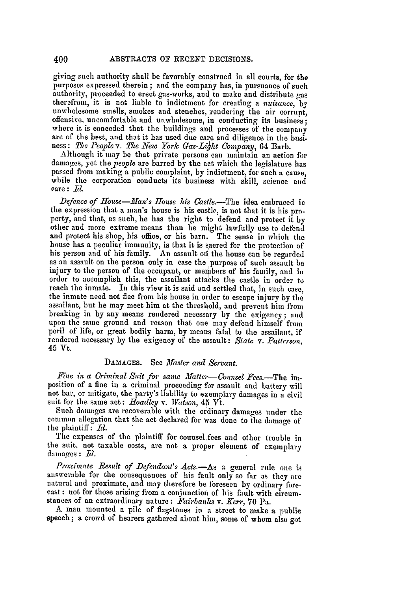giving such authority shall be favorably construed in all courts, for the purposes expressed therein ; and the company has, in pursuance of such authority, proceeded to erect gas-works, and to make and distribute gas therafrom, it is not liable to indictment for creating a *nuisance,* by unwholesome smells, smokes and stenches, rendering the air corrupt, offensive, uncomfortable and unwholesome, in conducting its **business;** where it is conceded that the buildings and processes of the company are of the best, and that it has used due care and diligence in the business: *The People v. The New York Gas-Light Company,* 64 Barb.

Although it may be that private persons can maintain an action for damages, yet the *people* are barred by the act which the legislature has passed from making a public complaint, by indictment, for such a cause, while the corporation conducts its business with skill, science and care: *Id.* 

*Defence of House—Man's House his Castle.*—The idea embraced in the expression that a man's house is his castle, is not that it is his property, and that, as such, he has the right to defend and protect it by other and more extreme means than he might lawfully use to defend and protect his shop, his office, or his barn. The sense in which the house has a peculiar immunity, is that it is sacred for the protection of his person and of his family. An assault on the house can be regarded as an assault on the person only in case the purpose of such assault **be** injury to the person of the occupant, or members of his family, and in order to accomplish this, the assailant attacks the castle in order to reach the inmate. In this view it is said and settled that, in such case, the inmate need not flee from his house in order to escape injury by the assailant, but he may meet him at the threslhold, and prevent him from breaking in by any means rendered necessary by the exigency **;** and upon the same ground and reason that one may defend himself from peril of life, or great bodily harm, by means fatal to the assailant, if rendered necessary by the exigency of the assault: *State v. Patterson,* 45 Vt.

# DAMAGES. See *Master and Servant.*

Fine in a Criminal Suit for same Matter-Counsel Fees.-The imposition of a fine in a criminal proceeding for assault and battery will not bar, or mitigate, the party's liability to exemplary damages in a civil suit for the same act: *Hoadley v. Watson*, 45 Vt.

Such damages are recoverable with the ordinary damages under the common allegation that the act declared for was done to the damage of the plaintiff: *Id.*

The expenses of the plaintiff for counsel fees and other trouble in the suit, not taxable costs, are not a proper element of exemplary damages : *Id.*

*Proximate Result of Defendant's Acts.-As* a general rule one is answerable for the consequences of his fault only so far as they are natural and proximate, and may therefore be foreseen by ordinary forecast : not for those arising from a conjunction of his fault with circumstances of an extraordinary nature: *Fairbanks* v. *Kerr,* **70** Pa.

**A** man mounted a pile of flagstones in a street to make a public speech; a crowd of hearers gathered about him, some of whom also got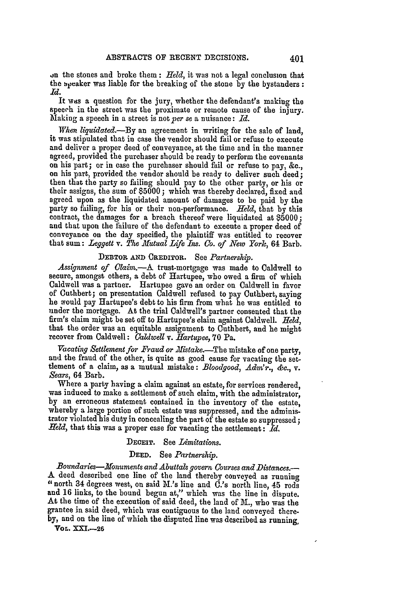**on** the stones and broke them: *Held,* it was not a legal conclusion that the bpeaker was liable for the breaking of the stone **by** the bystanders: *Id.*

It was a question for the jury, whether the defendant's making the speech in the street was the proximate or remote cause of the injury. Mlaking a speech in a street is *notper se* a nuisance: *Id.*

*When liquidated.-By* an agreement in writing for the sale of land, it was stipulated that in case the vendor should fail or refuse to execute and deliver a proper deed of conveyance, at the time and in the manner<br>agreed, provided the purchaser should be ready to perform the covenants<br>on his part; or in case the purchaser should fail or refuse to pay, &c.,<br>on his then that the party so failing should pay to the other party, or his or their assigns, the sum of \$5000; which was thereby declared, fixed and agreed upon as the liquidated amount of damages to be paid by the party so failing, for his or their non-performance. *Held,* that by this contract, the damages for a breach thereof were liquidated at \$5000; and that upon the failure of the defendant to execute a proper deed of conveyance on the day specified, the plaintiff was entitled to recover that sum: *Leggett v. The .Mutual Life Ins. Co. of New York,* 64 Barb.

# DEBTOR **AND** CREDITOR. See *Partnership.*

*Assignment of* Claim.-A trust-mortgage was made to Caldwell to secure, amongst others, a debt of Hartupee, who owed a firm of which Caldwell was a partner. Hartupee gave an order on Caldwell in favor of Cuthbert; on presentation Caldwell refused to pay Cuthbert, saying he would pay Hartupee's debt to his firm from what he was entitled to under the mortgage. At the trial Caldwell's partner consented that the firm's claim might be set off to Hartupee's claim against Caldwell. *Held,* that the order was an equitable assignment to Cuthbert, and he might recover from Caldwell: *Caldwell v. Hartupee,* 70 Pa.

*Vacating Settlement for Fraud or Xistake.-The* mistake of one party, and the fraud of the other, is quite as good cause for vacating the settlement of a claim, as a mutual mistake: *JBloodgood, Adm'n., &c.,* v. *Sears,* 64 Barb.

Where a party having a claim against an estate, for services rendered, was induced to make a settlement of such claim, with the administrator, by an erroneous statement contained in the inventory of the estate, whereby a large portion of such estate was suppressed, and the administrator violated his duty in concealing the part of the estate so suppressed; *H ed,* that this was a proper case for vacating the settlement: *Id.*

### **DECEIT.** See *Limitations.*

# **DEED.** See *Partnership.*

*Boundaries-A.fonuments and Abuttals govern Courses and Distances.-* A deed described one line of the land thereby conveyed as running **"1** north 34 degrees west, on said K.'s line and C.'s north line, 45 rods and 16 links, to the bound begun at," which was the line in dispute. At the time of the execution of said deed, the land of **Al.,** who was the grantee in said deed, which was contiguous to the land conveyed there**by,** and on the line of which the disputed line was described as running,

Vol. XXI.-26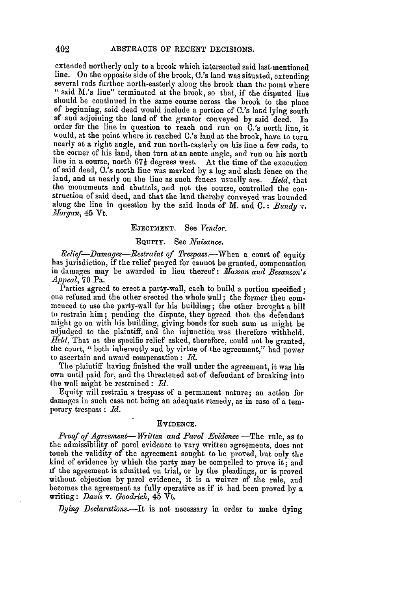extended northerly only to a brook which intersected said last-mentioned line. On the opposite side of the brook, C.'s land was situated, extending several rods further north-easterly along the brook than the point where **"** said M.'s line" terminated at the brook, so that, if the disputed line should be continued in the same course across the brook to the place of beginning, said deed would include a portion of C.'s land lying south **of** and adjoining the land of the grantor conveyed **by** said deed. In order for the line in question to reach and run on C.'s north line, it would, at the point where it reached C.'s land at the brook, have to turn nearly at a right angle, and run north-easterly on his line a few rods, to the corner of his land, then turn at an acute angle, and run on his north line in a course, north **67J** degrees west. At the time of the execution of said deed, O.'s north line was marked by a log and slash fence on the land, and as nearly on the line as such fences usually are. *Reld,* that the monuments and abuttals, and not the course, controlled the con- struction of said deed, and that the land thereby conveyed was bounded along the line in question by the said lands of M. and **C.:** *Bundy v. lforgan,* 45 Vt.

# EJECTMENT. See *Vendor.*

## **EQUITY.** See *Nuisance.*

*Relief-Damages-Restraint of Trespass.*-When a court of equity has jurisdiction, if the relief prayed for cannot be granted, compensation in damages may be awarded in lieu thereof: *Masson and Besanson'A .Ap)peal,* 70 Pa.

Parties agreed to erect a party-wall, each to build a portion specified; one refused and the other erected the whole wall; the former then com-<br>menced to use the party-wall for his building; the other brought a bill to restrain him; pending the dispute, they agreed that the defendant might go on with his building, giving bonds for such sum as might be adjudged to the plaintiff, and the injunction was therefore withheld *Hel,* That as the specific relief asked, therefore, could not be granted, the court, *"* both inherently and by virtue of the agreement," had power to ascertain and award compensation : *Id.*

The plaintiff having finished the wall under the agreement, it was his own until paid for, and the threatened act of defendant of breaking into the wall might be restrained: *Id.*

Equity will restrain a trespass of a permanent nature; an action for damages in such case not being an adequate remedy, as in case of a temporary trespass : *Id.*

## **EVIDENCE.**

Proof of Agreement- Written and Parol Evidence -The rule, as to the admissibility of parol evidence to vary written agreements, does not touch the validity of the agreement sought to be proved, but only the kind of evidence by which the party may be compelled to prove it; and **if** the agreement is admitted on trial, or by the pleadings, or is proved without objection by parol evidence, it is a waiver of the rule, and becomes the agreement as fully operative as if it had been proved by a writing: *Davis v. Goodrich,* 45 Vt.

*Dying Declarations.-It* is not necessary in order to make dying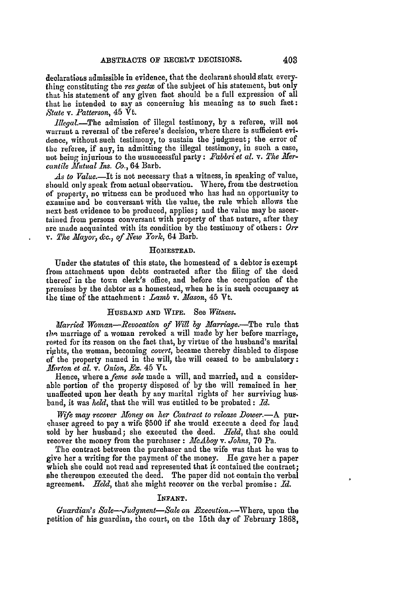declarations admissible in evidence, that the declarant should statc everything constituting the *res gesta* of the subject of his statement, but only that his statement of any given fact should be a full expression of all that he intended to say as concerning his meaning as to such fact: *FState v. Patterson,* 45 Vt.

*Illegal.-The* admission of illegal testimony, by a referee, will not warrant a reversal of the referee's decision, where there is sufficient evidence, without such testimony, to sustain the judgment; the error of the referee, if any, in admitting the illegal testimony, in such a case, not being injurious to the unsuccessful party: Fabbri et al. v. The Mer*cantile Mutual Ins. Co.,* 64 Barb.

*As to Value.-It* is not necessary that a witness, in speaking of value, should only speak from actual observation. Where, from the destruction of property, no witness can be produced who has had an opportunity to examine and be conversant with the value, the rule which allows the next best evidence to be produced, applies; and the value may be ascertained from persons conversant with property of that nature, after they are made acquainted with its condition **by** the testimony of others: *Orr* v. *The Mayor, &c., of New York,* 64 Barb.

### **HOMESTEAD.**

Under the statutes of this state, the homestead of a debtor is exempt from attachment upon debts contracted after the filing of the deed thereof in the town clerk's office, and before the occupation of the premises by the debtor as a homestead, when he is in such occupancy at the time of the attachment: *Lamb* v. *Mason,* 45 Vt.

## **HUSBAND AND WIFE.** See *Witness.*

*Married Woman-Revocation of Will by Marriage.*-The rule that the marriage of a woman revoked a will made by her before marriage, rested for its reason on the fact that, by virtue of the husband's marital rights, the woman, becoming *covert,* became thereby disabled to dispose of the property named in the will, the will ceased to be ambulatory: *.Aorton et* al. v. *Onion,* Ex. 45 Vt.

Hence, where *afeme sole* made a will, and married, and a considerable portion of the property disposed of by the will remained in her unaffected upon her death by any marital rights of her surviving hus. band, it was *held,* that the will was entitled to be probated: *Id.*

Wife *may recover Money on her Contract to release Dower-A* purchaser agreed to pay a wife 8500 if she would execute a deed for land sold by her husband; she executed the deed. *Held,* that she could recover the money from the purchaser: *McAboy v. Johns,* 70 Pa.

The contract between the purchaser and the wife was that he was to give her a writing for the payment of the money. He gave her a paper which she could not read and represented that it contained the contract; she thereupon executed the deed. The paper did not contain the verbal agreement. *Held,* that she might recover on the verbal promise: *Id.*

### **INFANT.**

*Guardiman's Sale-Judgment-Sale on Execution.-Where,* upon **the** petition of his guardian, the court, on the 15th day of February 1868,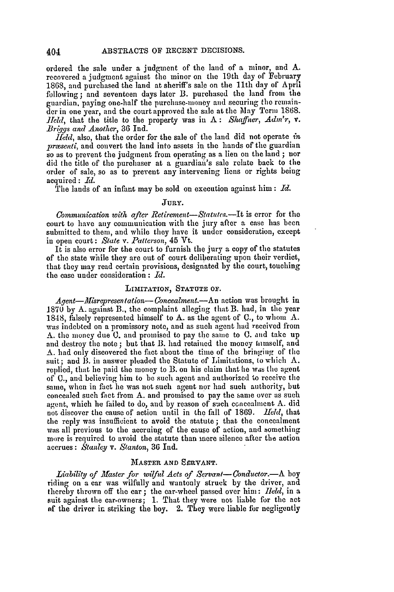ordered the sale under a judgment of the land of a minor, and **A.** recovered a judgment against the minor on the 19th day of February 1868, and purchased the land at sheriff's sale on the 11th day of April following; and seventeen days later B. purchased the land from **the** guardian, paying one-half tle purchase-nmonoy and securing the remaindcr in one year, and the court approved the sale at the May Term 1868. *Held,* that the title to the property was in  $A:$  *Shaffner, Adm'r, v. Brqgs and Another,* **36** Ind.

*Ikld,* also, that the order for the sale of the land did not operate *in przesenti,* and convert the land into assets in the hands of the guardian so as to prevent the judgment from operating as a lien on the land **;** nor did the title of the purchaser at a guardian's sale relate back to the order of sale, so as to prevent any intervening liens or rights being acquired: *Id.*

The lands of an infant may be sold on execution against him: *Id.*

## **JURY.**

*Communication with after Retirement-Statutes.*-It is error for the court to have any communication with the jury after a case has been submitted to them, and while they have it under consideration, except in open court: *State v. Patterson,* 45 Vt.

It is also error for the court to furnish the jury a copy of the statutes of the state while they are out of court deliberating upon their verdict, that they may read certain provisions, designated by the court, touching the case under consideration **:** *Id.*

## **LIMITATION, STATUTE OF.**

*Agent-Mlisrepresentation--Concealment.-An* action was brought in 1870 by A. against B., the complaint alleging that B. had, in the year 1848, falsely represented himself to A. as the agent of **C.,** to whom A. was indebted on a promissory note, and as such agent had received from A. the money due **0.** and promised to pay tle same to **C.** and take up and destroy the note; but that B. had retained the money himself, and A. had only discovered the fact about the time of the bringiog of the suit; and B. in answer pleaded the Statute of Limitations, to which A. replied, that **he** paid the money to B. on his claim that he was the agent of **C.,** and believing him to be such agent and authorized to receive the same, when in fact he was not such agent nor had such authority, but concealed such fact from A. and promised to pay the same over as **such** agent, which he failed to do, and by reason of such concealment A. did not discover the cause of action until in the fall of 1869. *Held*, that the reply was insufficient to avoid the statute; that the concealment was all previous to the accruing of the cause of action, and something more is required to avoid the statute than mere silence after the action accrues : *Stanley v. Stanton,* 36 Ind.

# **MASTER AND** SERVANT.

*Liability of Master for wilful Acts of Servant-Conductor.-A* boy riding on a car was wilfully and wantonly struck by the driver, and thereby thrown off the car; the car-wheel passed over him: *Held*, in a suit against the car-owners; 1. That they were **nor** liable for the act of the driver in striking the boy. 2. They were liable for negligently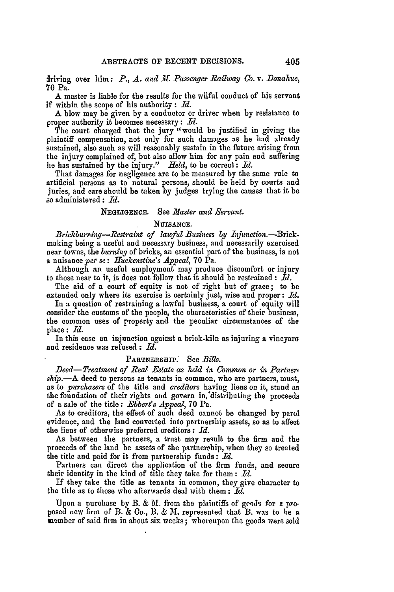iriving over him: *P., A. and* M. *Passenger Railway Co. v. Donahue,* 70 Pa.

A master is liable for the results for the wilful conduct of his servant if within the scope of his authority : *Id.*

A blow may be given by a conductor or driver when by resistance to proper authority it becomes necessary: *Id.*

The court charged that the jury "would be justified in giving the plaintiff compensation, not only for such damages as he had already sustained, also such as will reasonably sustain in the future arising from the injury complained of, but also allow him for any pain and suffering he has sustained by the injury." *Held,* to be correct: *Id.*

That damages for negligence are to be measured by the same rule to artificial persons as to natural persons, should be held by courts and juries, and care should be taken by judges trying the causes that it be so administered: *Id.*

## **NEGLIGENCE.** See *Master and Servant.*

### NUISANCE.

*Brickburrning-Restraint of lawful Business by Injunction.-Brick*making being a useful and necessary business, and necessarily exercised near towns, the *burning* of bricks, an essential part of the business, is not a nuisance *per se: Huckenstine's Appeal,* 70 Pa.

Although an useful employment may produce discomfort or injury to those near to it., it does not follow that it should be restrained : *Id.*

The aid of a court of equity is not of right but of grace; to be extended only where its exercise is certainly just, wise and proper: *Id.*

In a question of restraining a lawful business, a court of equity will consider the customs of the people, the characteristics of their business, the common uses of property and the peculiar circumstances of the place **:** *Id.*

In this case an injunction against a brick-kiln as injuring a vineyara and residence was refused : *Id.*

## PARTNERSHIP. See *Bills.*

*Deed-Treatment of Real Ectate as held* in *Common or in Partner-* $\sinh A$  deed to persons as tenants in common, who are partners, must, as to *purchasers* of the title and *creditors* having liens on it, stand as the foundation of their rights and govern in,'distributing the proceeds of a sale of the title: *Ebbert's Appeal,* 70 Pa.

As to creditors, the effect of such deed cannot be changed by parol evidence, and the land converted into partnership assets, so as to affect the liens of otherwise preferred creditors: *Id.*

As between the partners, a trust may result to the firm and the proceeds of the land be assets of the partnerahip, when they so treated the title and paid for it from partnership funds: Id.

Partners can direct the application of the firm funds, and secure their identity in the kind of title they take for them: *Id.*

If they take the title as tenants in common, they give character to the title as to those who afterwards deal with them: *Id.*

Upon a purchase by B. & **K.** from the plaintiffs of geods for **a** pro. posed new firm of B. & Co., B. & M. represented that B. was to be a **m**ember of said firm in about six weeks; whereupon the goods were sold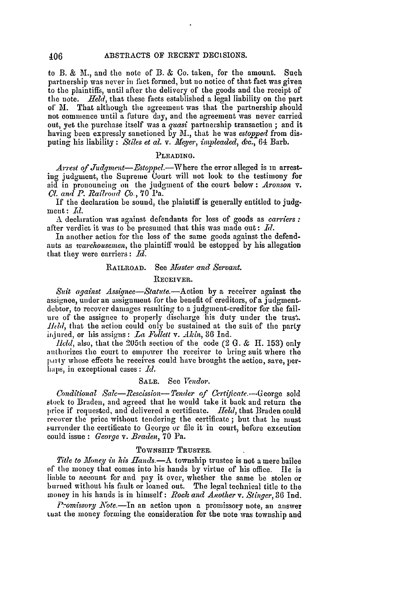to B. & M., and the note of B. & **Co.** taken, for the amount. Such partnership was never in fact formed, but no notice of that fact was given to the plaintiffs, until after the delivery of the goods and the receipt of the note. *Held,* that these facts established a legal liability on the part of M. That although the agreement was that the partnership should not commence until a future **day,** and the agreement was never carried out, yet the purchase itself was a *quasi* partnership transaction **;** and it having been expressly sanctioned by M., that he was *estopped* from disputing his liability : *Stiles et al. v. Meyer, impleaded, &c.,* 64 Barb.

## PLEADING.

*Arrest of Judgment—Estoppel.*—Where the error alleged is in arresting judgment, the Supreme Court will not look to the testimony for aid in pronouncing on the judgment of the court below : *Aronson v. 01. and P. Railroad Co.,* 70 Pa.

If the declaration be sound, the plaintiff is generally entitled to judgment: *Id.* 

A declaration was against defendants for loss of goods as *carriers:* after verdict it was to be presumed that this was made out:  $Id.$ 

In another action for the loss of the same goods against the defendants as *warehousemen,* the plaintiff would be estopped by his allegation that they were carriers: *Id.*

## RAILROAD. See *Master and Servant*.

#### RECEIVER.

Suit against Assignee-Statute.-Action by a receiver against the assignee, under an assignment for the benefit of creditors, of a judgment debtor, to recover damages resulting to a judgment-creditor for the failure of the assignee to properly discharge his duty under the trus. *11ad,* that the action could only be sustained at the suit of the party injured, or his assigns: *La Follett v. Akin*, 36 Ind.

*flcld,* also, that the 205th section of the code (2 G. & IT. 153) only authorizes the court to empower the receiver to bring suit where the party whose effects he receives could have brought the action, save, perhaps, in exceptional cases: *Id.* 

## SALE. See *Tendor.*

*Conditional Sale-Rescission- Tender of Certiicate.--George* sold stock to Braden, and agreed that **lie** would take it back and return the price if requested, and delivered a certificate. *Held*, that Braden could recover the price without tendering the certificate; but that he must burrender the certificate to George or file it in court, before execution could issue : *George v. Braden,* 70 Pa.

## TOWNSHIP TRUSTEE.

*Title to Money in his Hands.-A* township trustee is not a mere bailee of the money that comes into his hands **by** virtue of his office. **lie** is liable to account for and pay it over, whether the same be stolen or burned without his fault or loaned out. The legal technical title to the money in his hands is in himself **:** *Rock and Another v. Stinger,* **86** Ind.

*Promissory Note.*-In an action upon a promissory note, an answer tuat the money forming the consideration for the note was township and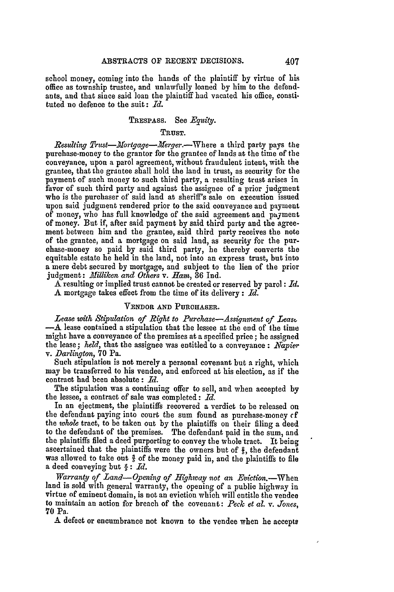school money, coming into the hands of the plaintiff **by** virtue of his office as township trustee, and unlawfully loaned **by** him to the defendants, and that since said loan the plaintiff had vacated his office, constituted no defence to the suit: *Id.*

# TRESPASS. See *Equity.*

### TRUST.

*Resulting Trust-Mortgage-Merger.*--Where a third party pays the purchase-money to the grantor for the grantee of lands at the time of the conveyance, upon a parol agreement, without fraudulent intent, with the grantee, that the grantee shall hold the land in trust, as security for the payment of such money to such third party, a resulting trust arises in favor of such third party and against the assignee of a prior judgment who is the purchaser of said land at sheriff's sale on execution issued upon said judgment rendered prior to the said conveyance and payment of money, who has full knowledge of the said agreement and payment of money. But **if,** after said payment by said third party and the agreement between him and the grantee, said third party receives the note of the grantee, and a mortgage on said land, as security for the purchase-money so paid by said third party, he thereby converts the equitable estate he held in the land, not into an express trust, but into a mere debt secured **by** mortgage, and subject to the lien of the prior judgment: *Milliken and Others v. Ham,* 36 Ind.

A resulting or implied trust cannot be created or reserved by parol : *Id.* A mortgage takes effect from the time of its delivery: *Id.*

# **VENDOR AND PURCHASER.**

*Lease with Stipulation of Right to Purchase-Assignment of Leas&* -A lease contained a stipulation that the lessee at the end of the time might have a conveyance of the premises at a specified price; he assigned the lease; *held,* that the assignee was entitled to a conveyance : *Napier v. Darlington,* **70** Pa.

Such stipulation is not merely a personal covenant but a right, which may be transferred to his vendee, and enforced at his election, as if the contract had been absolute : *Id.*

The stipulation was a continuing offer to sell, and when accepted by the lessee, a contract of sale was completed: *Id.*

In an ejectment, the plaintiffs recovered a verdict to be released on the defendant paying into court the sum found as purchase-money cf the *whole* tract, to be taken out by the plaintiffs on their filing a deed to the defendant of the premises. The defendant paid in the sum, and the plaintiffs filed a deed purporting to convey the whole tract. It being ascertained that the plaintiffs were the owners but of *f,* the defendant was allowed to take out  $\frac{2}{3}$  of the money paid in, and the plaintiffs to file **a** deed conveying but *: d.*

*Warranty of Land--Opening of Highway not an Eviction.*-When land is sold with general warranty, the opening of a public highway in virtue of eminent domain, is not an eviction which will entitle the vendee to maintain an action for breach of the covenant: *Peck et al. v. Jones,* 70 Pa.

A defect or encumbrance not known to the vendee when he accepts